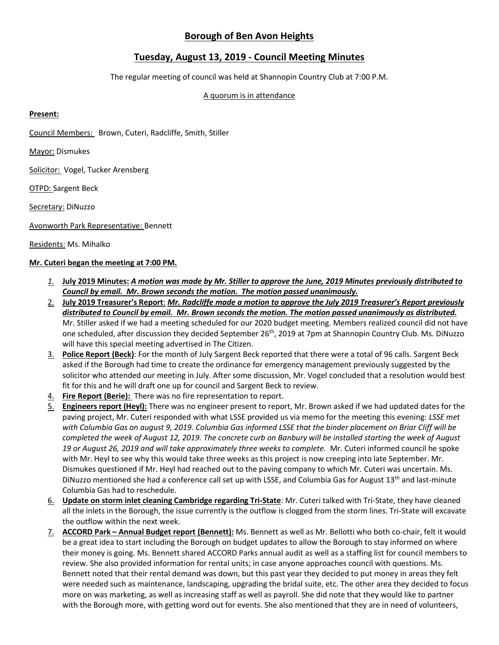## **Borough of Ben Avon Heights**

# **Tuesday, August 13, 2019 - Council Meeting Minutes**

The regular meeting of council was held at Shannopin Country Club at 7:00 P.M.

#### A quorum is in attendance

## **Present:**

Council Members: Brown, Cuteri, Radcliffe, Smith, Stiller

Mayor: Dismukes

Solicitor: Vogel, Tucker Arensberg

OTPD: Sargent Beck

Secretary: DiNuzzo

Avonworth Park Representative: Bennett

Residents: Ms. Mihalko

## **Mr. Cuteri began the meeting at 7:00 PM.**

- *1.* **July 2019 Minutes:** *A motion was made by Mr. Stiller to approve the June, 2019 Minutes previously distributed to Council by email. Mr. Brown seconds the motion. The motion passed unanimously.*
- 2. **July 2019 Treasurer's Report**: *Mr. Radcliffe made a motion to approve the July 2019 Treasurer's Report previously distributed to Council by email. Mr. Brown seconds the motion. The motion passed unanimously as distributed.* Mr. Stiller asked if we had a meeting scheduled for our 2020 budget meeting. Members realized council did not have one scheduled, after discussion they decided September 26th, 2019 at 7pm at Shannopin Country Club. Ms. DiNuzzo will have this special meeting advertised in The Citizen.
- 3. **Police Report (Beck)**: For the month of July Sargent Beck reported that there were a total of 96 calls. Sargent Beck asked if the Borough had time to create the ordinance for emergency management previously suggested by the solicitor who attended our meeting in July. After some discussion, Mr. Vogel concluded that a resolution would best fit for this and he will draft one up for council and Sargent Beck to review.
- 4. **Fire Report (Berie):** There was no fire representation to report.
- 5. **Engineers report (Heyl):** There was no engineer present to report, Mr. Brown asked if we had updated dates for the paving project, Mr. Cuteri responded with what LSSE provided us via memo for the meeting this evening: *LSSE met with Columbia Gas on august 9, 2019. Columbia Gas informed LSSE that the binder placement on Briar Cliff will be completed the week of August 12, 2019. The concrete curb on Banbury will be installed starting the week of August 19 or August 26, 2019 and will take approximately three weeks to complete.* Mr. Cuteri informed council he spoke with Mr. Heyl to see why this would take three weeks as this project is now creeping into late September. Mr. Dismukes questioned if Mr. Heyl had reached out to the paving company to which Mr. Cuteri was uncertain. Ms. DiNuzzo mentioned she had a conference call set up with LSSE, and Columbia Gas for August 13<sup>th</sup> and last-minute Columbia Gas had to reschedule.
- 6. **Update on storm inlet cleaning Cambridge regarding Tri-State**: Mr. Cuteri talked with Tri-State, they have cleaned all the inlets in the Borough, the issue currently is the outflow is clogged from the storm lines. Tri-State will excavate the outflow within the next week.
- 7. **ACCORD Park – Annual Budget report (Bennett):** Ms. Bennett as well as Mr. Bellotti who both co-chair, felt it would be a great idea to start including the Borough on budget updates to allow the Borough to stay informed on where their money is going. Ms. Bennett shared ACCORD Parks annual audit as well as a staffing list for council members to review. She also provided information for rental units; in case anyone approaches council with questions. Ms. Bennett noted that their rental demand was down, but this past year they decided to put money in areas they felt were needed such as maintenance, landscaping, upgrading the bridal suite, etc. The other area they decided to focus more on was marketing, as well as increasing staff as well as payroll. She did note that they would like to partner with the Borough more, with getting word out for events. She also mentioned that they are in need of volunteers,